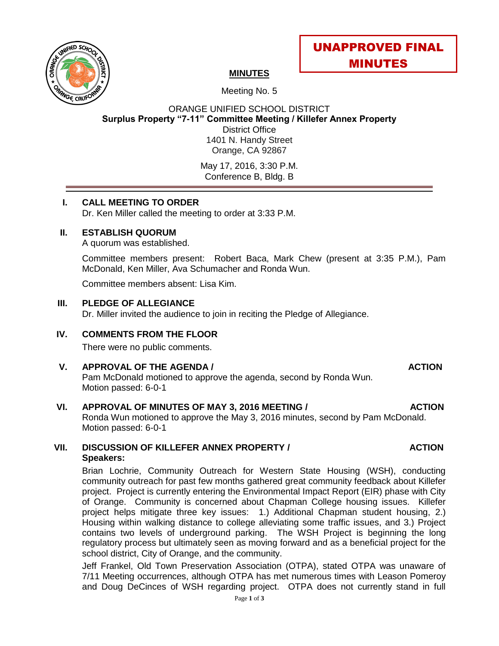



# **MINUTES**

Meeting No. 5

ORANGE UNIFIED SCHOOL DISTRICT **Surplus Property "7-11" Committee Meeting / Killefer Annex Property** District Office 1401 N. Handy Street Orange, CA 92867

May 17, 2016, 3:30 P.M. Conference B, Bldg. B

## **I. CALL MEETING TO ORDER**

Dr. Ken Miller called the meeting to order at 3:33 P.M.

## **II. ESTABLISH QUORUM**

A quorum was established.

Committee members present: Robert Baca, Mark Chew (present at 3:35 P.M.), Pam McDonald, Ken Miller, Ava Schumacher and Ronda Wun.

Committee members absent: Lisa Kim.

## **III. PLEDGE OF ALLEGIANCE**

Dr. Miller invited the audience to join in reciting the Pledge of Allegiance.

## **IV. COMMENTS FROM THE FLOOR**

There were no public comments.

### **V. APPROVAL OF THE AGENDA / ACTION**

Pam McDonald motioned to approve the agenda, second by Ronda Wun. Motion passed: 6-0-1

## **VI. APPROVAL OF MINUTES OF MAY 3, 2016 MEETING / ACTION**

Ronda Wun motioned to approve the May 3, 2016 minutes, second by Pam McDonald. Motion passed: 6-0-1

### **VII. DISCUSSION OF KILLEFER ANNEX PROPERTY / ACTION Speakers:**

Brian Lochrie, Community Outreach for Western State Housing (WSH), conducting community outreach for past few months gathered great community feedback about Killefer project. Project is currently entering the Environmental Impact Report (EIR) phase with City of Orange. Community is concerned about Chapman College housing issues. Killefer project helps mitigate three key issues: 1.) Additional Chapman student housing, 2.) Housing within walking distance to college alleviating some traffic issues, and 3.) Project contains two levels of underground parking. The WSH Project is beginning the long regulatory process but ultimately seen as moving forward and as a beneficial project for the school district, City of Orange, and the community.

Jeff Frankel, Old Town Preservation Association (OTPA), stated OTPA was unaware of 7/11 Meeting occurrences, although OTPA has met numerous times with Leason Pomeroy and Doug DeCinces of WSH regarding project. OTPA does not currently stand in full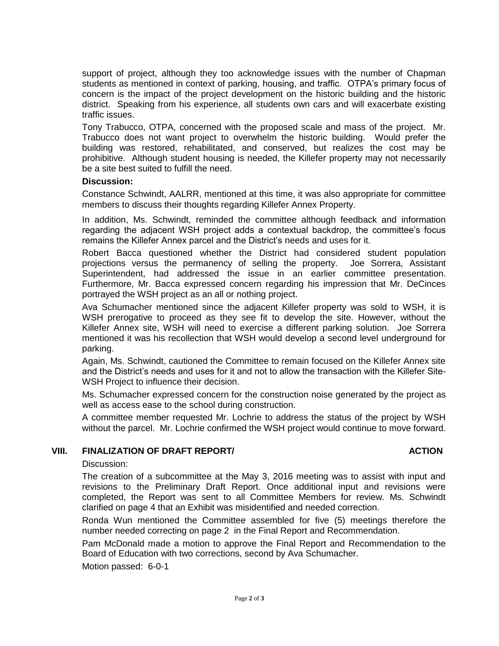support of project, although they too acknowledge issues with the number of Chapman students as mentioned in context of parking, housing, and traffic. OTPA's primary focus of concern is the impact of the project development on the historic building and the historic district. Speaking from his experience, all students own cars and will exacerbate existing traffic issues.

Tony Trabucco, OTPA, concerned with the proposed scale and mass of the project. Mr. Trabucco does not want project to overwhelm the historic building. Would prefer the building was restored, rehabilitated, and conserved, but realizes the cost may be prohibitive. Although student housing is needed, the Killefer property may not necessarily be a site best suited to fulfill the need.

### **Discussion:**

Constance Schwindt, AALRR, mentioned at this time, it was also appropriate for committee members to discuss their thoughts regarding Killefer Annex Property.

In addition, Ms. Schwindt, reminded the committee although feedback and information regarding the adjacent WSH project adds a contextual backdrop, the committee's focus remains the Killefer Annex parcel and the District's needs and uses for it.

Robert Bacca questioned whether the District had considered student population projections versus the permanency of selling the property. Joe Sorrera, Assistant Superintendent, had addressed the issue in an earlier committee presentation. Furthermore, Mr. Bacca expressed concern regarding his impression that Mr. DeCinces portrayed the WSH project as an all or nothing project.

Ava Schumacher mentioned since the adjacent Killefer property was sold to WSH, it is WSH prerogative to proceed as they see fit to develop the site. However, without the Killefer Annex site, WSH will need to exercise a different parking solution. Joe Sorrera mentioned it was his recollection that WSH would develop a second level underground for parking.

Again, Ms. Schwindt, cautioned the Committee to remain focused on the Killefer Annex site and the District's needs and uses for it and not to allow the transaction with the Killefer Site-WSH Project to influence their decision.

Ms. Schumacher expressed concern for the construction noise generated by the project as well as access ease to the school during construction.

A committee member requested Mr. Lochrie to address the status of the project by WSH without the parcel. Mr. Lochrie confirmed the WSH project would continue to move forward.

### **VIII.** FINALIZATION OF DRAFT REPORT/ **ACTION**

Discussion:

The creation of a subcommittee at the May 3, 2016 meeting was to assist with input and revisions to the Preliminary Draft Report. Once additional input and revisions were completed, the Report was sent to all Committee Members for review. Ms. Schwindt clarified on page 4 that an Exhibit was misidentified and needed correction.

Ronda Wun mentioned the Committee assembled for five (5) meetings therefore the number needed correcting on page 2 in the Final Report and Recommendation.

Pam McDonald made a motion to approve the Final Report and Recommendation to the Board of Education with two corrections, second by Ava Schumacher.

Motion passed: 6-0-1